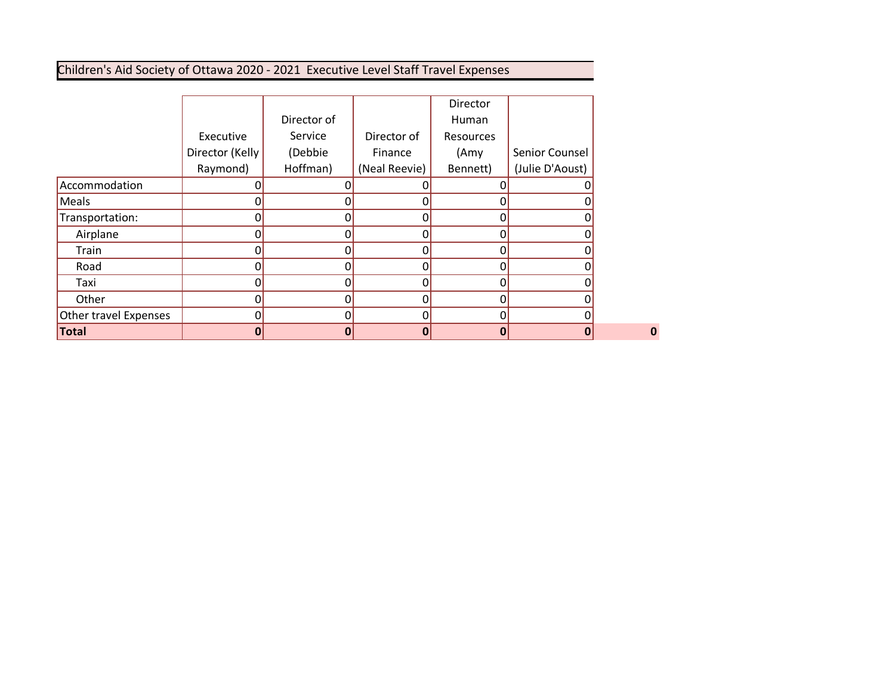# Children's Aid Society of Ottawa 2020 - 2021 Executive Level Staff Travel Expenses

|                       |                 |              |               | Director  |                 |
|-----------------------|-----------------|--------------|---------------|-----------|-----------------|
|                       |                 | Director of  |               | Human     |                 |
|                       | Executive       | Service      | Director of   | Resources |                 |
|                       | Director (Kelly | (Debbie      | Finance       | (Amy      | Senior Counsel  |
|                       | Raymond)        | Hoffman)     | (Neal Reevie) | Bennett)  | (Julie D'Aoust) |
| Accommodation         |                 |              |               |           |                 |
| Meals                 | Π               | O            | 0             |           |                 |
| Transportation:       |                 | 0            | 0             |           |                 |
| Airplane              | O               | O            | 0             | ი         |                 |
| Train                 |                 | 0            | 0             |           |                 |
| Road                  |                 | ŋ            | N             |           |                 |
| Taxi                  |                 | 0            | 0             |           |                 |
| Other                 |                 | n            | 0             |           |                 |
| Other travel Expenses |                 | 0            | 0             |           |                 |
| Total                 | 0               | $\mathbf{0}$ | 0             | Ω         | 0               |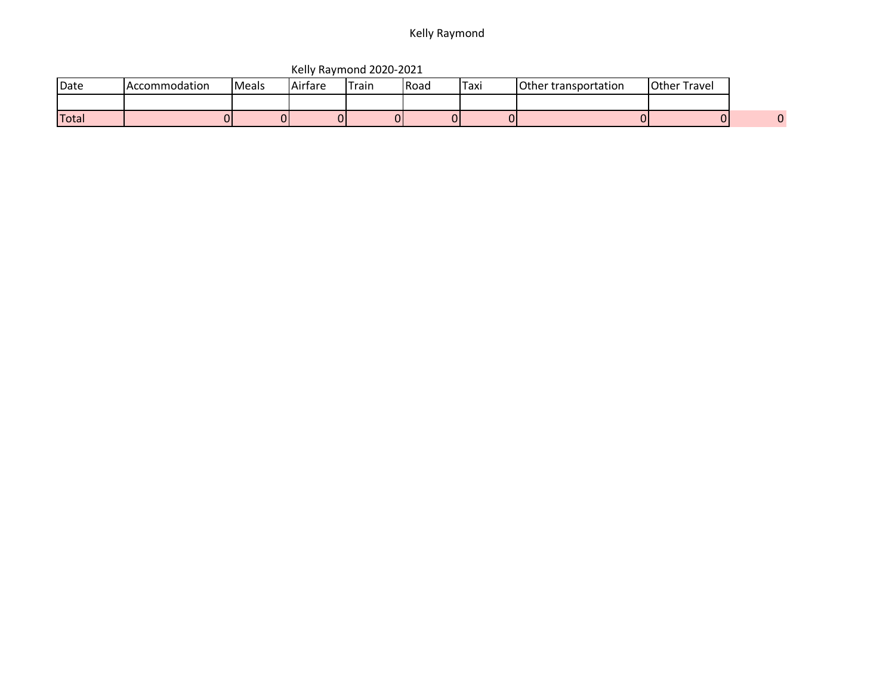### Kelly Raymond

|              |                      |              |         | <b>NUTTY INGITIONS EDED LOLS</b> |       |             |                      |                     |  |
|--------------|----------------------|--------------|---------|----------------------------------|-------|-------------|----------------------|---------------------|--|
| <b>IDate</b> | <b>Accommodation</b> | <b>Meals</b> | Airfare | -rain                            | lRoad | <b>Taxi</b> | Other transportation | <b>Other Travel</b> |  |
|              |                      |              |         |                                  |       |             |                      |                     |  |
| Total        |                      |              |         |                                  |       |             |                      |                     |  |

Kelly Raymond 2020-2021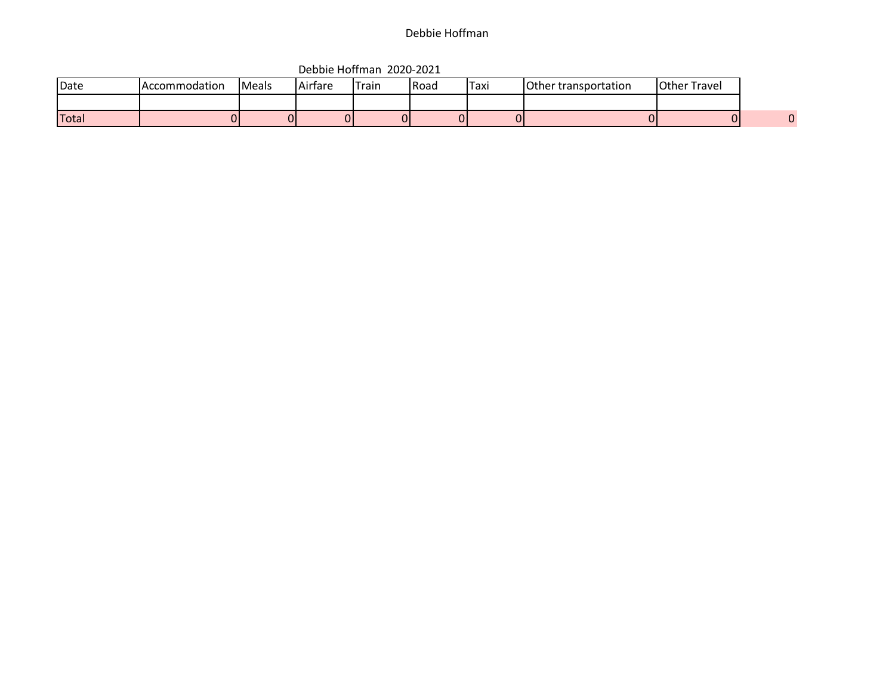## Debbie Hoffman

|       |               |       |         | _______________________ |             |      |                      |                     |
|-------|---------------|-------|---------|-------------------------|-------------|------|----------------------|---------------------|
| Date  | Accommodation | Meals | Airfare | Train                   | <b>Road</b> | Taxi | Other transportation | <b>Other Travel</b> |
|       |               |       |         |                         |             |      |                      |                     |
| Total |               | ΩI    |         |                         |             |      |                      |                     |

Debbie Hoffman 2020-2021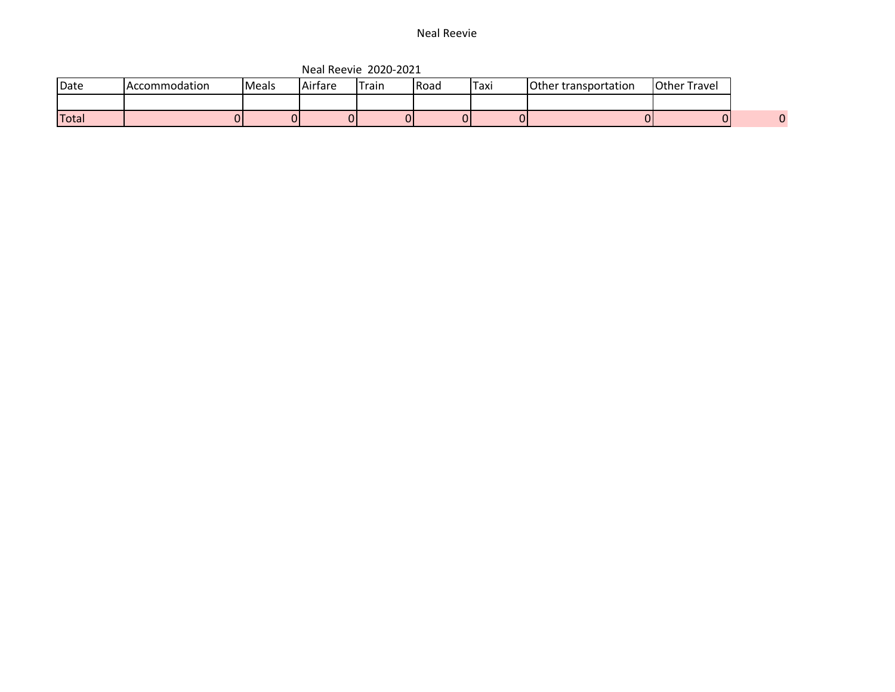#### Neal Reevie

| Date  | <b>Accommodation</b> | Meals | Airfare | Train | Road | Taxi | Other transportation | <b>Other Travel</b> |
|-------|----------------------|-------|---------|-------|------|------|----------------------|---------------------|
|       |                      |       |         |       |      |      |                      |                     |
| Total |                      |       |         | ור    |      |      |                      |                     |

Neal Reevie 2020-2021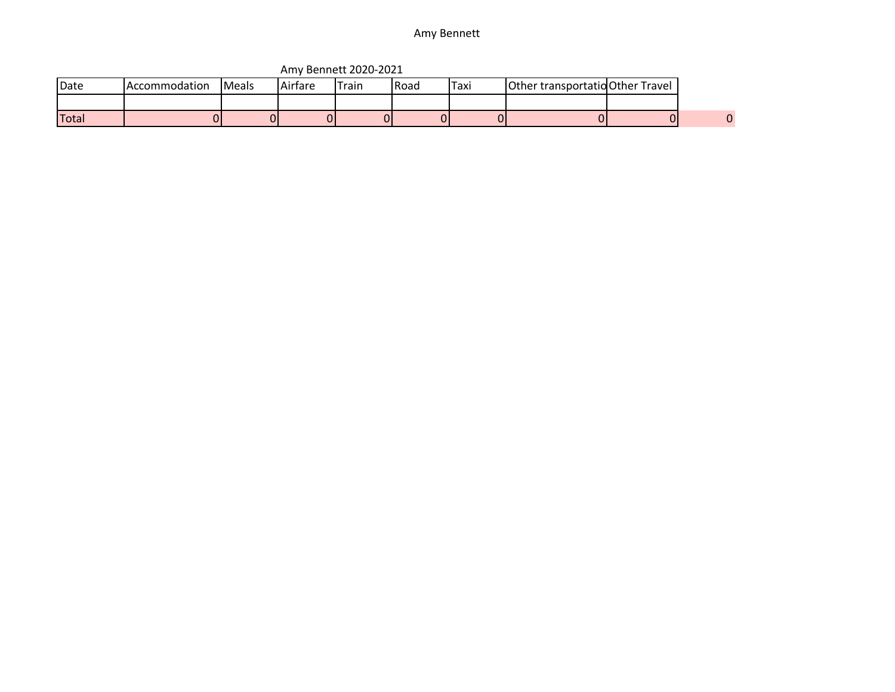### Amy Bennett

|              |                      |               |         | $\overline{1}$ willy before even $\overline{2}$ |        |      |                                  |  |
|--------------|----------------------|---------------|---------|-------------------------------------------------|--------|------|----------------------------------|--|
| <b>IDate</b> | <b>Accommodation</b> | <b>IMeals</b> | Airfare | Train                                           | l Road | Taxi | Other transportatio Other Travel |  |
|              |                      |               |         |                                                 |        |      |                                  |  |
| <b>Total</b> |                      |               |         |                                                 |        |      |                                  |  |

Amy Bennett 2020-2021